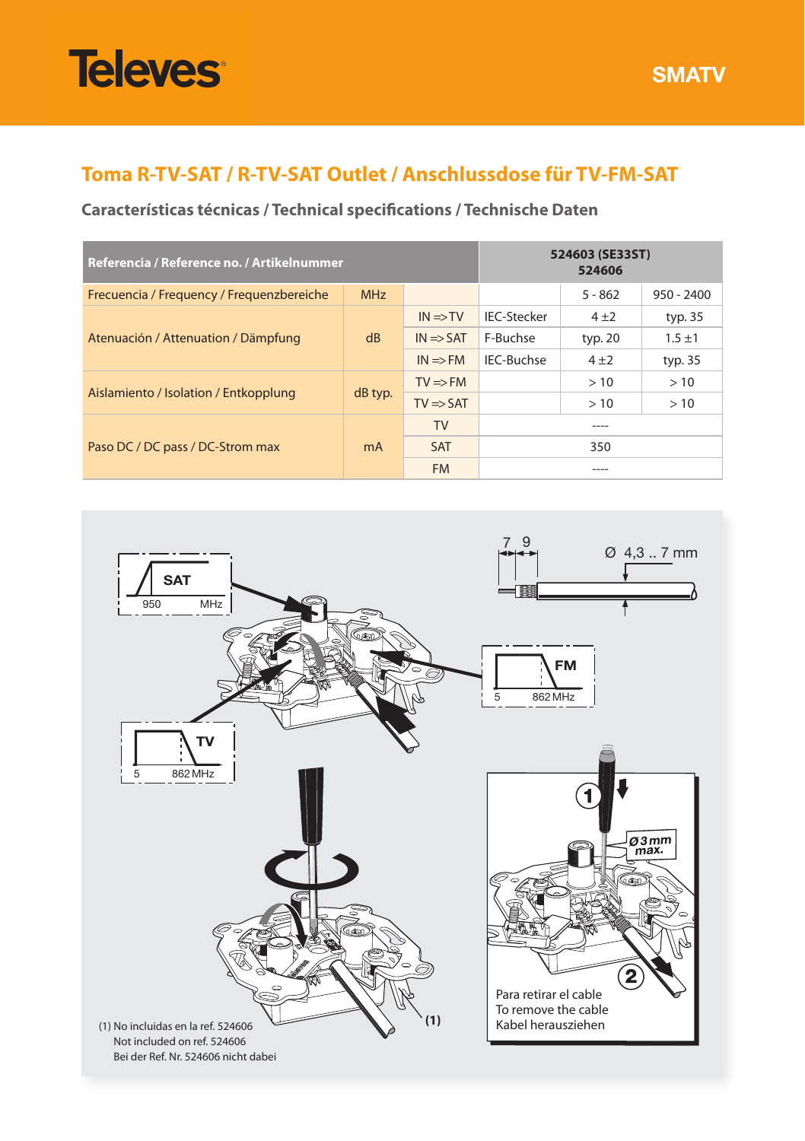# **Televes**

**SMATV**

## **Toma R-TV-SAT / R-TV-SAT Outlet / Anschlussdose für TV-FM-SAT**

## **Características técnicas / Technical specifications / Technische Daten**

| Referencia / Reference no. / Artikelnummer |                |                      | 524603 (SE33ST)<br>524606 |           |              |
|--------------------------------------------|----------------|----------------------|---------------------------|-----------|--------------|
| Frecuencia / Frequency / Frequenzbereiche  | <b>MHz</b>     |                      |                           | $5 - 862$ | $950 - 2400$ |
| Atenuación / Attenuation / Dämpfung        | dB             | $IN \Rightarrow TV$  | <b>IEC-Stecker</b>        | $4 + 2$   | typ. 35      |
|                                            |                | $IN \Rightarrow SAT$ | F-Buchse                  | typ. 20   | $1.5 + 1$    |
|                                            |                | $IN \Rightarrow FM$  | IEC-Buchse                | $4 + 2$   | typ. 35      |
| Aislamiento / Isolation / Entkopplung      | dB typ.        | $TV \Rightarrow FM$  |                           | >10       | >10          |
|                                            |                | $TV \Rightarrow SAT$ |                           | >10       | >10          |
| Paso DC / DC pass / DC-Strom max           | m <sub>A</sub> | <b>TV</b>            | ----                      |           |              |
|                                            |                | <b>SAT</b>           | 350                       |           |              |
|                                            |                | <b>FM</b>            | ----                      |           |              |